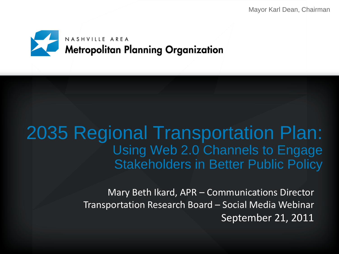Mayor Karl Dean, Chairman

# NASHVILLE AREA<br>Metropolitan Planning Organization

#### 2035 Regional Transportation Plan: Using Web 2.0 Channels to Engage Stakeholders in Better Public Policy

Mary Beth Ikard, APR – Communications Director Transportation Research Board – Social Media Webinar September 21, 2011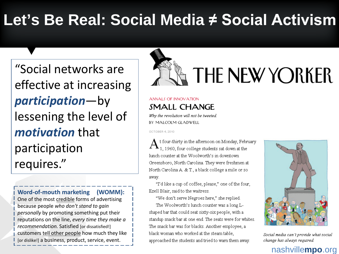### **Let's Be Real: Social Media ≠ Social Activism**

"Social networks are effective at increasing *participation*—by lessening the level of *motivation* that participation requires."

**Word-of-mouth marketing (WOMM):** One of the most credible forms of advertising because people *who don't stand to gain personally* by promoting something put their reputations on the line, *every time they make a recommendation.* Satisfied [or dissatisfied!] customers tell other people how much they like [or dislike!] a business, product, service, event.



#### ANNALS OF INNOVATION SMALL CHANGE

Why the revolution will not be tweeted. BY MALCOLM GLADWELL

OCTOBER 4, 2010

t four-thirty in the afternoon on Monday, February , 1960, four college students sat down at the lunch counter at the Woolworth's in downtown Greensboro, North Carolina. They were freshmen at North Carolina A & T., a black college a mile or so away.

"I'd like a cup of coffee, please," one of the four, Ezell Blair, said to the waitress.

"We don't serve Negroes here," she replied. The Woolworth's lunch counter was a long Lshaped bar that could seat sixty-six people, with a standup snack bar at one end. The seats were for whites. The snack bar was for blacks. Another employee, a black woman who worked at the steam table. approached the students and tried to warn them away.



Social media can't provide what social change has always required.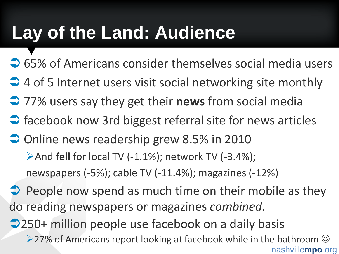### **Lay of the Land: Audience**

- **→ 65% of Americans consider themselves social media users**
- **→ 4 of 5 Internet users visit social networking site monthly**
- 77% users say they get their **news** from social media
- $\rightarrow$  facebook now 3rd biggest referral site for news articles
- **→ Online news readership grew 8.5% in 2010** 
	- And **fell** for local TV (-1.1%); network TV (-3.4%);

newspapers (-5%); cable TV (-11.4%); magazines (-12%)

- $\Rightarrow$  People now spend as much time on their mobile as they do reading newspapers or magazines *combined*.
- 250+ million people use facebook on a daily basis
	- nashville**mpo**.org  $\geq$  27% of Americans report looking at facebook while in the bathroom  $\odot$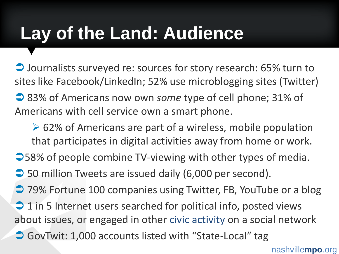## **Lay of the Land: Audience**

 $\bigcirc$  Journalists surveyed re: sources for story research: 65% turn to sites like Facebook/LinkedIn; 52% use microblogging sites (Twitter)

 83% of Americans now own *some* type of cell phone; 31% of Americans with cell service own a smart phone.

**► 62% of Americans are part of a wireless, mobile population** that participates in digital activities away from home or work.

**→**58% of people combine TV-viewing with other types of media.

 $\bigcirc$  50 million Tweets are issued daily (6,000 per second).

**→ 79% Fortune 100 companies using Twitter, FB, YouTube or a blog** 

 $\supset$  1 in 5 Internet users searched for political info, posted views about issues, or engaged in other civic activity on a social network

**→ GovTwit: 1,000 accounts listed with "State-Local" tag**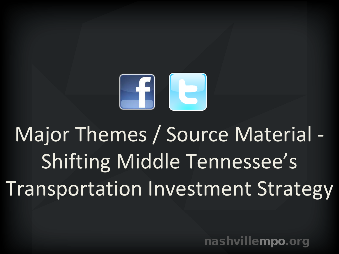

# Major Themes / Source Material - Shifting Middle Tennessee's Transportation Investment Strategy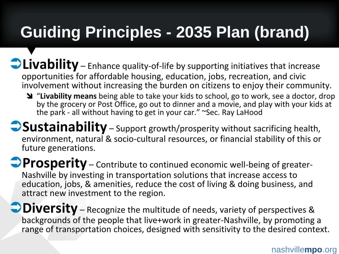### **Guiding Principles - 2035 Plan (brand)**

**Livability** – Enhance quality-of-life by supporting initiatives that increase opportunities for affordable housing, education, jobs, recreation, and civic involvement without increasing the burden on citizens to enjoy their community.

 "**Livability means** being able to take your kids to school, go to work, see a doctor, drop by the grocery or Post Office, go out to dinner and a movie, and play with your kids at the park - all without having to get in your car." ~Sec. Ray LaHood

**Sustainability** – Support growth/prosperity without sacrificing health, environment, natural & socio-cultural resources, or financial stability of this or future generations.

**Prosperity** – Contribute to continued economic well-being of greater-Nashville by investing in transportation solutions that increase access to education, jobs, & amenities, reduce the cost of living & doing business, and attract new investment to the region.

**Diversity** – Recognize the multitude of needs, variety of perspectives & backgrounds of the people that live+work in greater-Nashville, by promoting a range of transportation choices, designed with sensitivity to the desired context.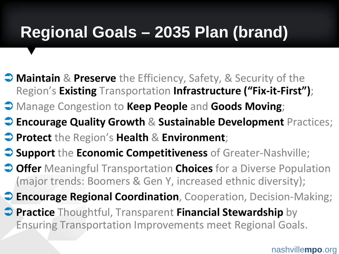### **Regional Goals – 2035 Plan (brand)**

- **Maintain** & **Preserve** the Efficiency, Safety, & Security of the Region's **Existing** Transportation **Infrastructure ("Fix-it-First")**;
- Manage Congestion to **Keep People** and **Goods Moving**;
- **Encourage Quality Growth** & **Sustainable Development** Practices;
- **Protect** the Region's **Health** & **Environment**;
- **Support** the **Economic Competitiveness** of Greater-Nashville;
- **Offer** Meaningful Transportation **Choices** for a Diverse Population (major trends: Boomers & Gen Y, increased ethnic diversity);
- **Encourage Regional Coordination**, Cooperation, Decision-Making;
- **Practice** Thoughtful, Transparent **Financial Stewardship** by Ensuring Transportation Improvements meet Regional Goals.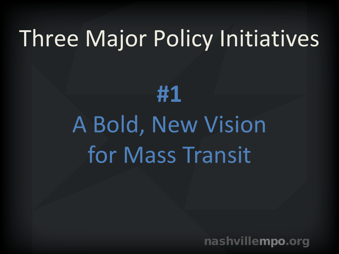## Three Major Policy Initiatives



# A Bold, New Vision for Mass Transit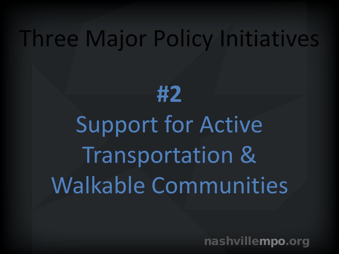## Three Major Policy Initiatives



Support for Active Transportation & Walkable Communities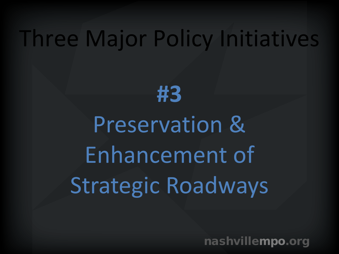## Three Major Policy Initiatives



Preservation & Enhancement of Strategic Roadways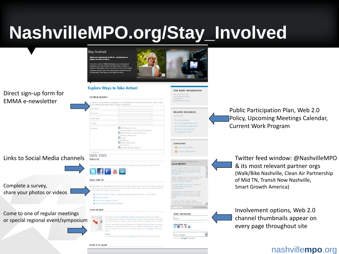### **NashvilleMPO.org/Stay\_Involved**



Public Participation Plan, Web 2.0 Policy, Upcoming Meetings Calendar, Current Work Program

Twitter feed window: @NashvilleMPO & its most relevant partner orgs (Walk/Bike Nashville, Clean Air Partnership of Mid TN, Transit Now Nashville, Smart Growth America)

Involvement options, Web 2.0 channel thumbnails appear on every page throughout site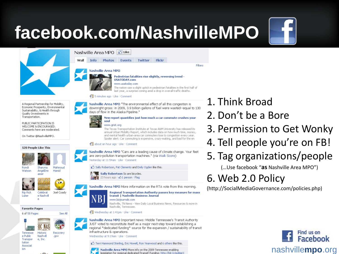## **facebook.com/NashvilleMPO**



Luker

ion

1. Think Broad

Filters

- 2. Don't be a Bore
- 3. Permission to Get Wonky
- 4. Tell people you're on FB!

#### 5. Tag organizations/people

(…Use facebook "**as** Nashville Area MPO")

6. Web 2.0 Policy

(http://SocialMediaGovernance.com/policies.php)



downright gross: in 2009, 3.9 billion gallons of fuel were wasted--equal to 130

New report quantifies just how much a car commute crushes your

The Texas Transportation Institute at Texas A&M University has released its annual Urban Mobility Report, which includes data on how much time, money, and mental health urban-area car commuters lose to congestion every year. Spoiler alert: Car commuting is expensive, crazy-making, and bad for the en-

Nashville Area MPO "Cars are a leading cause of climate change. Your feet

Nashville Area MPO More information on the RTA vote from this morning.

Nashville, TN News - View Daily Local Business News, Resources & more in

legislation for regional dedicated ftransit1 funding- http://hit.ly/egNgrX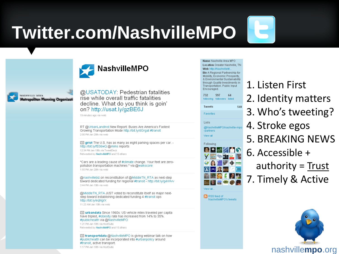## **Twitter.com/NashvilleMPO**



ASHVILLE AREA **Metropolitan Planning Organizati**  @USATODAY: Pedestrian fatalities rise while overall traffic fatalities decline. What do you think is goin' on? http://usat.ly/gzBE6J

19 minutes ago via web

RT @UrbanLandInst New Report: Buses Are America's Fastest Growing Transportation Mode http://bit.lv/dGrgat #transit 2:00 PM Jan 20th via web

**Bulgrist** The U.S. has as many as eight parking spaces per car. http://bit.lv/fE06wQ @mims reports

12:34 PM Jan 19th via TweetDeck Retweeted by NashvilleMPO and 15 others

"Cars are a leading cause of #climate change. Your feet are zeropollution transportation machines." via @walkscore 1:55 PM Jan 20th via web

@nashvillebiz on reconstitution of @MiddleTN\_RTA as next-step toward dedicated funding for regional #transit - http://bit.lv/g4XHvv 3:44 PM Jan 19th via web

@MiddleTN\_RTA JUST voted to reconstitute itself as major nextstep toward establishing dedicated funding 4 #transit ops http://bit.ly/eqNqrX 11:23 AM Jan 19th via web

Tell urbandata Since 1960s: US vehicle miles traveled per capital have tripled, #obesity rate has increased from 14% to 35% #publichealth via @NashvilleMPO

1:21 PM Jan 18th via HootSuite Retweeted by NashvilleMPO and 15 others

Ed transportdata @NashvilleMPO is giving webinar talk on how #publichealth can be incorporated into #urbanpolicy around #transit, active transport. 1:17 PM Jan 18th via HootSuite

Name Nashville Area MPO Location Greater Nashville, TN Web http://NashvilleM. Bio A Regional Partnership for Mobility, Economic Prosperity, & Environmental Sustainability through Quality Investments in Transportation, Public Input Encouraged.

| 732                                               | 597<br>following followers listed | 64 |  |
|---------------------------------------------------|-----------------------------------|----|--|
| <b>Tweets</b>                                     |                                   |    |  |
| <b>Favorites</b>                                  |                                   |    |  |
| l ists<br>@NashvilleMPO/nashville-mj<br>-partners |                                   |    |  |
| View all                                          |                                   |    |  |
|                                                   |                                   |    |  |



RSS feed of VashvilleMPO's tweets

1. Listen First 2. Identity matters 3. Who's tweeting? 4. Stroke egos 5. BREAKING NEWS

- 6. Accessible +
	- authority =  $Trust$
- 7. Timely & Active

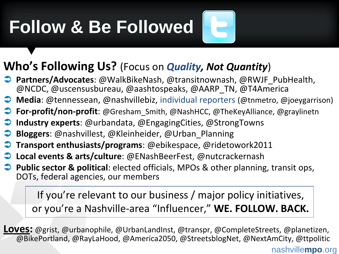## **Follow & Be Followed**

#### **Who's Following Us?** (Focus on *Quality, Not Quantity*)

- **Partners/Advocates**: @WalkBikeNash, @transitnownash, @RWJF\_PubHealth, @NCDC, @uscensusbureau, @aashtospeaks, @AARP\_TN, @T4America
- **Media**: @tennessean, @nashvillebiz, individual reporters (@tnmetro, @joeygarrison)
- **For-profit/non-profit**: @Gresham\_Smith, @NashHCC, @TheKeyAlliance, @graylinetn
- **Industry experts**: @urbandata, @EngagingCities, @StrongTowns
- **Bloggers**: @nashvillest, @Kleinheider, @Urban\_Planning
- **Transport enthusiasts/programs**: @ebikespace, @ridetowork2011
- **Local events & arts/culture**: @ENashBeerFest, @nutcrackernash
- **Public sector & political**: elected officials, MPOs & other planning, transit ops, DOTs, federal agencies, our members

If you're relevant to our business / major policy initiatives, or you're a Nashville-area "Influencer," **WE. FOLLOW. BACK.**

**Loves:** @grist, @urbanophile, @UrbanLandInst, @transpr, @CompleteStreets, @planetizen, @BikePortland, @RayLaHood, @America2050, @StreetsblogNet, @NextAmCity, @ttpolitic